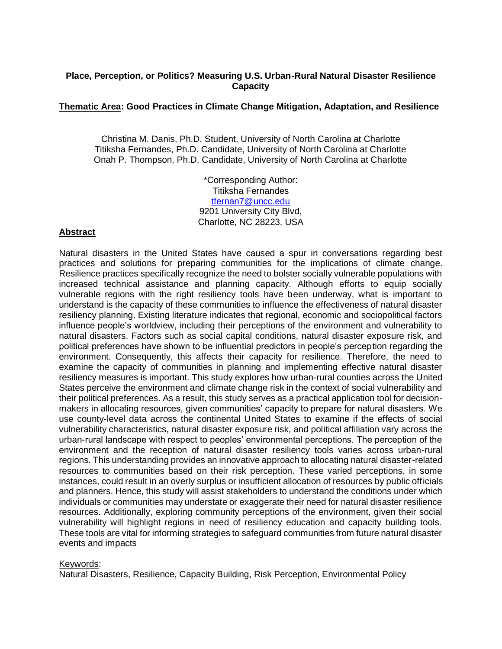### **Place, Perception, or Politics? Measuring U.S. Urban-Rural Natural Disaster Resilience Capacity**

#### **Thematic Area: Good Practices in Climate Change Mitigation, Adaptation, and Resilience**

Christina M. Danis, Ph.D. Student, University of North Carolina at Charlotte Titiksha Fernandes, Ph.D. Candidate, University of North Carolina at Charlotte Onah P. Thompson, Ph.D. Candidate, University of North Carolina at Charlotte

> \*Corresponding Author: Titiksha Fernandes [tfernan7@uncc.edu](mailto:tfernan7@uncc.edu) 9201 University City Blvd, Charlotte, NC 28223, USA

# **Abstract**

Natural disasters in the United States have caused a spur in conversations regarding best practices and solutions for preparing communities for the implications of climate change. Resilience practices specifically recognize the need to bolster socially vulnerable populations with increased technical assistance and planning capacity. Although efforts to equip socially vulnerable regions with the right resiliency tools have been underway, what is important to understand is the capacity of these communities to influence the effectiveness of natural disaster resiliency planning. Existing literature indicates that regional, economic and sociopolitical factors influence people's worldview, including their perceptions of the environment and vulnerability to natural disasters. Factors such as social capital conditions, natural disaster exposure risk, and political preferences have shown to be influential predictors in people's perception regarding the environment. Consequently, this affects their capacity for resilience. Therefore, the need to examine the capacity of communities in planning and implementing effective natural disaster resiliency measures is important. This study explores how urban-rural counties across the United States perceive the environment and climate change risk in the context of social vulnerability and their political preferences. As a result, this study serves as a practical application tool for decisionmakers in allocating resources, given communities' capacity to prepare for natural disasters. We use county-level data across the continental United States to examine if the effects of social vulnerability characteristics, natural disaster exposure risk, and political affiliation vary across the urban-rural landscape with respect to peoples' environmental perceptions. The perception of the environment and the reception of natural disaster resiliency tools varies across urban-rural regions. This understanding provides an innovative approach to allocating natural disaster-related resources to communities based on their risk perception. These varied perceptions, in some instances, could result in an overly surplus or insufficient allocation of resources by public officials and planners. Hence, this study will assist stakeholders to understand the conditions under which individuals or communities may understate or exaggerate their need for natural disaster resilience resources. Additionally, exploring community perceptions of the environment, given their social vulnerability will highlight regions in need of resiliency education and capacity building tools. These tools are vital for informing strategies to safeguard communities from future natural disaster events and impacts

#### Keywords:

Natural Disasters, Resilience, Capacity Building, Risk Perception, Environmental Policy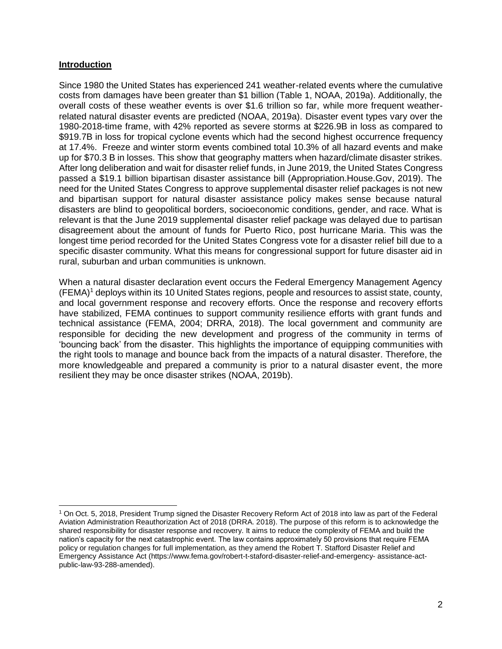### **Introduction**

Since 1980 the United States has experienced 241 weather-related events where the cumulative costs from damages have been greater than \$1 billion (Table 1, NOAA, 2019a). Additionally, the overall costs of these weather events is over \$1.6 trillion so far, while more frequent weatherrelated natural disaster events are predicted (NOAA, 2019a). Disaster event types vary over the 1980-2018-time frame, with 42% reported as severe storms at \$226.9B in loss as compared to \$919.7B in loss for tropical cyclone events which had the second highest occurrence frequency at 17.4%. Freeze and winter storm events combined total 10.3% of all hazard events and make up for \$70.3 B in losses. This show that geography matters when hazard/climate disaster strikes. After long deliberation and wait for disaster relief funds, in June 2019, the United States Congress passed a \$19.1 billion bipartisan disaster assistance bill (Appropriation.House.Gov, 2019). The need for the United States Congress to approve supplemental disaster relief packages is not new and bipartisan support for natural disaster assistance policy makes sense because natural disasters are blind to geopolitical borders, socioeconomic conditions, gender, and race. What is relevant is that the June 2019 supplemental disaster relief package was delayed due to partisan disagreement about the amount of funds for Puerto Rico, post hurricane Maria. This was the longest time period recorded for the United States Congress vote for a disaster relief bill due to a specific disaster community. What this means for congressional support for future disaster aid in rural, suburban and urban communities is unknown.

When a natural disaster declaration event occurs the Federal Emergency Management Agency (FEMA)<sup>1</sup> deploys within its 10 United States regions, people and resources to assist state, county, and local government response and recovery efforts. Once the response and recovery efforts have stabilized, FEMA continues to support community resilience efforts with grant funds and technical assistance (FEMA, 2004; DRRA, 2018). The local government and community are responsible for deciding the new development and progress of the community in terms of 'bouncing back' from the disaster. This highlights the importance of equipping communities with the right tools to manage and bounce back from the impacts of a natural disaster. Therefore, the more knowledgeable and prepared a community is prior to a natural disaster event, the more resilient they may be once disaster strikes (NOAA, 2019b).

<sup>1</sup> On Oct. 5, 2018, President Trump signed the Disaster Recovery Reform Act of 2018 into law as part of the Federal Aviation Administration Reauthorization Act of 2018 (DRRA. 2018). The purpose of this reform is to acknowledge the shared responsibility for disaster response and recovery. It aims to reduce the complexity of FEMA and build the nation's capacity for the next catastrophic event. The law contains approximately 50 provisions that require FEMA policy or regulation changes for full implementation, as they amend the Robert T. Stafford Disaster Relief and Emergency Assistance Act (https://www.fema.gov/robert-t-staford-disaster-relief-and-emergency- assistance-actpublic-law-93-288-amended).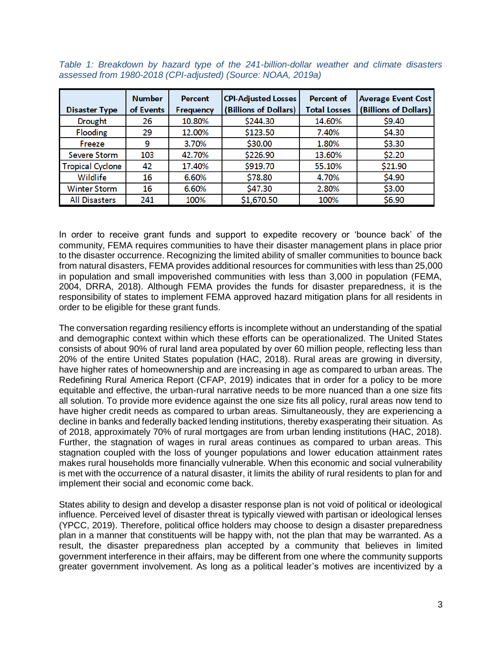| <b>Disaster Type</b>    | <b>Number</b><br>of Events | Percent<br>Frequency | <b>CPI-Adjusted Losses</b><br>(Billions of Dollars) | <b>Percent of</b><br><b>Total Losses</b> | <b>Average Event Cost</b><br>(Billions of Dollars) |
|-------------------------|----------------------------|----------------------|-----------------------------------------------------|------------------------------------------|----------------------------------------------------|
| Drought                 | 26                         | 10.80%               | \$244.30                                            | 14.60%                                   | \$9.40                                             |
| Flooding                | 29                         | 12.00%               | \$123.50                                            | 7.40%                                    | \$4.30                                             |
| Freeze                  | 9                          | 3.70%                | \$30.00                                             | 1.80%                                    | \$3.30                                             |
| Severe Storm            | 103                        | 42.70%               | \$226.90                                            | 13.60%                                   | \$2.20                                             |
| <b>Tropical Cyclone</b> | 42                         | 17.40%               | \$919.70                                            | 55.10%                                   | \$21.90                                            |
| Wildlife                | 16                         | 6.60%                | \$78.80                                             | 4.70%                                    | \$4.90                                             |
| <b>Winter Storm</b>     | 16                         | 6.60%                | \$47.30                                             | 2.80%                                    | \$3.00                                             |
| <b>All Disasters</b>    | 241                        | 100%                 | \$1,670.50                                          | 100%                                     | \$6.90                                             |

*Table 1: Breakdown by hazard type of the 241-billion-dollar weather and climate disasters assessed from 1980-2018 (CPI-adjusted) (Source: NOAA, 2019a)*

In order to receive grant funds and support to expedite recovery or 'bounce back' of the community, FEMA requires communities to have their disaster management plans in place prior to the disaster occurrence. Recognizing the limited ability of smaller communities to bounce back from natural disasters, FEMA provides additional resources for communities with less than 25,000 in population and small impoverished communities with less than 3,000 in population (FEMA, 2004, DRRA, 2018). Although FEMA provides the funds for disaster preparedness, it is the responsibility of states to implement FEMA approved hazard mitigation plans for all residents in order to be eligible for these grant funds.

The conversation regarding resiliency efforts is incomplete without an understanding of the spatial and demographic context within which these efforts can be operationalized. The United States consists of about 90% of rural land area populated by over 60 million people, reflecting less than 20% of the entire United States population (HAC, 2018). Rural areas are growing in diversity, have higher rates of homeownership and are increasing in age as compared to urban areas. The Redefining Rural America Report (CFAP, 2019) indicates that in order for a policy to be more equitable and effective, the urban-rural narrative needs to be more nuanced than a one size fits all solution. To provide more evidence against the one size fits all policy, rural areas now tend to have higher credit needs as compared to urban areas. Simultaneously, they are experiencing a decline in banks and federally backed lending institutions, thereby exasperating their situation. As of 2018, approximately 70% of rural mortgages are from urban lending institutions (HAC, 2018). Further, the stagnation of wages in rural areas continues as compared to urban areas. This stagnation coupled with the loss of younger populations and lower education attainment rates makes rural households more financially vulnerable. When this economic and social vulnerability is met with the occurrence of a natural disaster, it limits the ability of rural residents to plan for and implement their social and economic come back.

States ability to design and develop a disaster response plan is not void of political or ideological influence. Perceived level of disaster threat is typically viewed with partisan or ideological lenses (YPCC, 2019). Therefore, political office holders may choose to design a disaster preparedness plan in a manner that constituents will be happy with, not the plan that may be warranted. As a result, the disaster preparedness plan accepted by a community that believes in limited government interference in their affairs, may be different from one where the community supports greater government involvement. As long as a political leader's motives are incentivized by a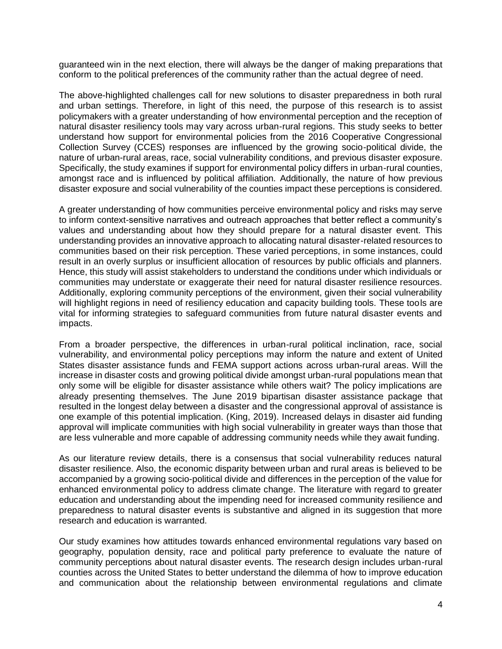guaranteed win in the next election, there will always be the danger of making preparations that conform to the political preferences of the community rather than the actual degree of need.

The above-highlighted challenges call for new solutions to disaster preparedness in both rural and urban settings. Therefore, in light of this need, the purpose of this research is to assist policymakers with a greater understanding of how environmental perception and the reception of natural disaster resiliency tools may vary across urban-rural regions. This study seeks to better understand how support for environmental policies from the 2016 Cooperative Congressional Collection Survey (CCES) responses are influenced by the growing socio-political divide, the nature of urban-rural areas, race, social vulnerability conditions, and previous disaster exposure. Specifically, the study examines if support for environmental policy differs in urban-rural counties, amongst race and is influenced by political affiliation. Additionally, the nature of how previous disaster exposure and social vulnerability of the counties impact these perceptions is considered.

A greater understanding of how communities perceive environmental policy and risks may serve to inform context-sensitive narratives and outreach approaches that better reflect a community's values and understanding about how they should prepare for a natural disaster event. This understanding provides an innovative approach to allocating natural disaster-related resources to communities based on their risk perception. These varied perceptions, in some instances, could result in an overly surplus or insufficient allocation of resources by public officials and planners. Hence, this study will assist stakeholders to understand the conditions under which individuals or communities may understate or exaggerate their need for natural disaster resilience resources. Additionally, exploring community perceptions of the environment, given their social vulnerability will highlight regions in need of resiliency education and capacity building tools. These tools are vital for informing strategies to safeguard communities from future natural disaster events and impacts.

From a broader perspective, the differences in urban-rural political inclination, race, social vulnerability, and environmental policy perceptions may inform the nature and extent of United States disaster assistance funds and FEMA support actions across urban-rural areas. Will the increase in disaster costs and growing political divide amongst urban-rural populations mean that only some will be eligible for disaster assistance while others wait? The policy implications are already presenting themselves. The June 2019 bipartisan disaster assistance package that resulted in the longest delay between a disaster and the congressional approval of assistance is one example of this potential implication. (King, 2019). Increased delays in disaster aid funding approval will implicate communities with high social vulnerability in greater ways than those that are less vulnerable and more capable of addressing community needs while they await funding.

As our literature review details, there is a consensus that social vulnerability reduces natural disaster resilience. Also, the economic disparity between urban and rural areas is believed to be accompanied by a growing socio-political divide and differences in the perception of the value for enhanced environmental policy to address climate change. The literature with regard to greater education and understanding about the impending need for increased community resilience and preparedness to natural disaster events is substantive and aligned in its suggestion that more research and education is warranted.

Our study examines how attitudes towards enhanced environmental regulations vary based on geography, population density, race and political party preference to evaluate the nature of community perceptions about natural disaster events. The research design includes urban-rural counties across the United States to better understand the dilemma of how to improve education and communication about the relationship between environmental regulations and climate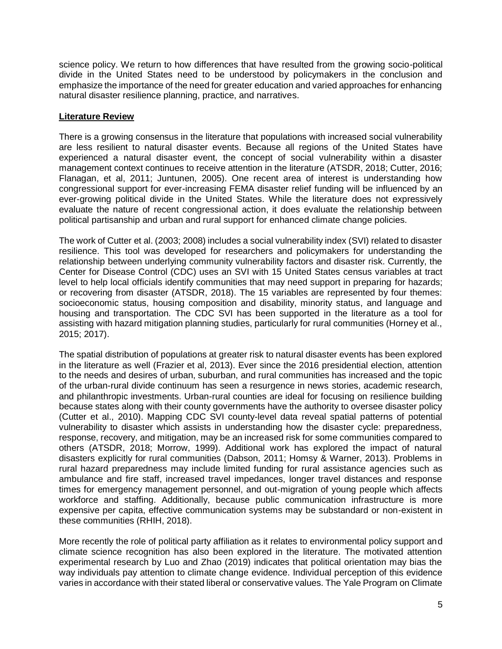science policy. We return to how differences that have resulted from the growing socio-political divide in the United States need to be understood by policymakers in the conclusion and emphasize the importance of the need for greater education and varied approaches for enhancing natural disaster resilience planning, practice, and narratives.

## **Literature Review**

There is a growing consensus in the literature that populations with increased social vulnerability are less resilient to natural disaster events. Because all regions of the United States have experienced a natural disaster event, the concept of social vulnerability within a disaster management context continues to receive attention in the literature (ATSDR, 2018; Cutter, 2016; Flanagan, et al, 2011; Juntunen, 2005). One recent area of interest is understanding how congressional support for ever-increasing FEMA disaster relief funding will be influenced by an ever-growing political divide in the United States. While the literature does not expressively evaluate the nature of recent congressional action, it does evaluate the relationship between political partisanship and urban and rural support for enhanced climate change policies.

The work of Cutter et al. (2003; 2008) includes a social vulnerability index (SVI) related to disaster resilience. This tool was developed for researchers and policymakers for understanding the relationship between underlying community vulnerability factors and disaster risk. Currently, the Center for Disease Control (CDC) uses an SVI with 15 United States census variables at tract level to help local officials identify communities that may need support in preparing for hazards; or recovering from disaster (ATSDR, 2018). The 15 variables are represented by four themes: socioeconomic status, housing composition and disability, minority status, and language and housing and transportation. The CDC SVI has been supported in the literature as a tool for assisting with hazard mitigation planning studies, particularly for rural communities (Horney et al., 2015; 2017).

The spatial distribution of populations at greater risk to natural disaster events has been explored in the literature as well (Frazier et al, 2013). Ever since the 2016 presidential election, attention to the needs and desires of urban, suburban, and rural communities has increased and the topic of the urban-rural divide continuum has seen a resurgence in news stories, academic research, and philanthropic investments. Urban-rural counties are ideal for focusing on resilience building because states along with their county governments have the authority to oversee disaster policy (Cutter et al., 2010). Mapping CDC SVI county-level data reveal spatial patterns of potential vulnerability to disaster which assists in understanding how the disaster cycle: preparedness, response, recovery, and mitigation, may be an increased risk for some communities compared to others (ATSDR, 2018; Morrow, 1999). Additional work has explored the impact of natural disasters explicitly for rural communities (Dabson, 2011; Homsy & Warner, 2013). Problems in rural hazard preparedness may include limited funding for rural assistance agencies such as ambulance and fire staff, increased travel impedances, longer travel distances and response times for emergency management personnel, and out-migration of young people which affects workforce and staffing. Additionally, because public communication infrastructure is more expensive per capita, effective communication systems may be substandard or non-existent in these communities (RHIH, 2018).

More recently the role of political party affiliation as it relates to environmental policy support and climate science recognition has also been explored in the literature. The motivated attention experimental research by Luo and Zhao (2019) indicates that political orientation may bias the way individuals pay attention to climate change evidence. Individual perception of this evidence varies in accordance with their stated liberal or conservative values. The Yale Program on Climate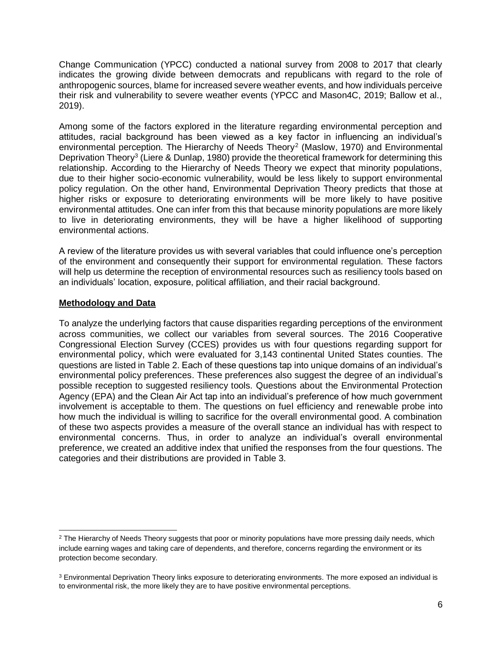Change Communication (YPCC) conducted a national survey from 2008 to 2017 that clearly indicates the growing divide between democrats and republicans with regard to the role of anthropogenic sources, blame for increased severe weather events, and how individuals perceive their risk and vulnerability to severe weather events (YPCC and Mason4C, 2019; Ballow et al., 2019).

Among some of the factors explored in the literature regarding environmental perception and attitudes, racial background has been viewed as a key factor in influencing an individual's environmental perception. The Hierarchy of Needs Theory<sup>2</sup> (Maslow, 1970) and Environmental Deprivation Theory<sup>3</sup> (Liere & Dunlap, 1980) provide the theoretical framework for determining this relationship. According to the Hierarchy of Needs Theory we expect that minority populations, due to their higher socio-economic vulnerability, would be less likely to support environmental policy regulation. On the other hand, Environmental Deprivation Theory predicts that those at higher risks or exposure to deteriorating environments will be more likely to have positive environmental attitudes. One can infer from this that because minority populations are more likely to live in deteriorating environments, they will be have a higher likelihood of supporting environmental actions.

A review of the literature provides us with several variables that could influence one's perception of the environment and consequently their support for environmental regulation. These factors will help us determine the reception of environmental resources such as resiliency tools based on an individuals' location, exposure, political affiliation, and their racial background.

#### **Methodology and Data**

 $\overline{a}$ 

To analyze the underlying factors that cause disparities regarding perceptions of the environment across communities, we collect our variables from several sources. The 2016 Cooperative Congressional Election Survey (CCES) provides us with four questions regarding support for environmental policy, which were evaluated for 3,143 continental United States counties. The questions are listed in Table 2. Each of these questions tap into unique domains of an individual's environmental policy preferences. These preferences also suggest the degree of an individual's possible reception to suggested resiliency tools. Questions about the Environmental Protection Agency (EPA) and the Clean Air Act tap into an individual's preference of how much government involvement is acceptable to them. The questions on fuel efficiency and renewable probe into how much the individual is willing to sacrifice for the overall environmental good. A combination of these two aspects provides a measure of the overall stance an individual has with respect to environmental concerns. Thus, in order to analyze an individual's overall environmental preference, we created an additive index that unified the responses from the four questions. The categories and their distributions are provided in Table 3.

<sup>&</sup>lt;sup>2</sup> The Hierarchy of Needs Theory suggests that poor or minority populations have more pressing daily needs, which include earning wages and taking care of dependents, and therefore, concerns regarding the environment or its protection become secondary.

<sup>&</sup>lt;sup>3</sup> Environmental Deprivation Theory links exposure to deteriorating environments. The more exposed an individual is to environmental risk, the more likely they are to have positive environmental perceptions.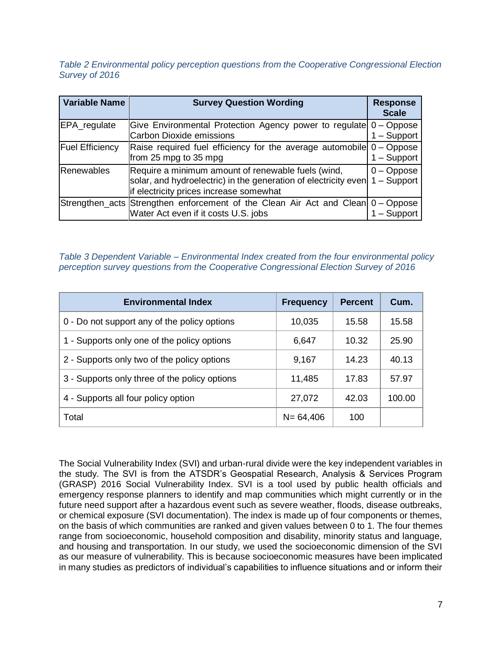*Table 2 Environmental policy perception questions from the Cooperative Congressional Election Survey of 2016*

| <b>Variable Name</b>   | <b>Survey Question Wording</b>                                                                                                                                   | <b>Response</b><br><b>Scale</b> |
|------------------------|------------------------------------------------------------------------------------------------------------------------------------------------------------------|---------------------------------|
| EPA_regulate           | Give Environmental Protection Agency power to regulate 0 – Oppose<br><b>Carbon Dioxide emissions</b>                                                             | $1 -$ Support                   |
| <b>Fuel Efficiency</b> | Raise required fuel efficiency for the average automobile 0 - Oppose<br>from 25 mpg to 35 mpg                                                                    | $1 -$ Support                   |
| Renewables             | Require a minimum amount of renewable fuels (wind,<br>solar, and hydroelectric) in the generation of electricity even<br>if electricity prices increase somewhat | $0 - Oppose$<br>$1 -$ Support   |
|                        | Strengthen_acts Strengthen enforcement of the Clean Air Act and Clean 0 - Oppose<br>Water Act even if it costs U.S. jobs                                         | $-$ Support                     |

*Table 3 Dependent Variable – Environmental Index created from the four environmental policy perception survey questions from the Cooperative Congressional Election Survey of 2016*

| <b>Environmental Index</b>                    | <b>Frequency</b> | <b>Percent</b> | Cum.   |
|-----------------------------------------------|------------------|----------------|--------|
| 0 - Do not support any of the policy options  | 10,035           | 15.58          | 15.58  |
| 1 - Supports only one of the policy options   | 6,647            | 10.32          | 25.90  |
| 2 - Supports only two of the policy options   | 9,167            | 14.23          | 40.13  |
| 3 - Supports only three of the policy options | 11,485           | 17.83          | 57.97  |
| 4 - Supports all four policy option           | 27,072           | 42.03          | 100.00 |
| Total                                         | $N = 64,406$     | 100            |        |

The Social Vulnerability Index (SVI) and urban-rural divide were the key independent variables in the study. The SVI is from the ATSDR's Geospatial Research, Analysis & Services Program (GRASP) 2016 Social Vulnerability Index. SVI is a tool used by public health officials and emergency response planners to identify and map communities which might currently or in the future need support after a hazardous event such as severe weather, floods, disease outbreaks, or chemical exposure (SVI documentation). The index is made up of four components or themes, on the basis of which communities are ranked and given values between 0 to 1. The four themes range from socioeconomic, household composition and disability, minority status and language, and housing and transportation. In our study, we used the socioeconomic dimension of the SVI as our measure of vulnerability. This is because socioeconomic measures have been implicated in many studies as predictors of individual's capabilities to influence situations and or inform their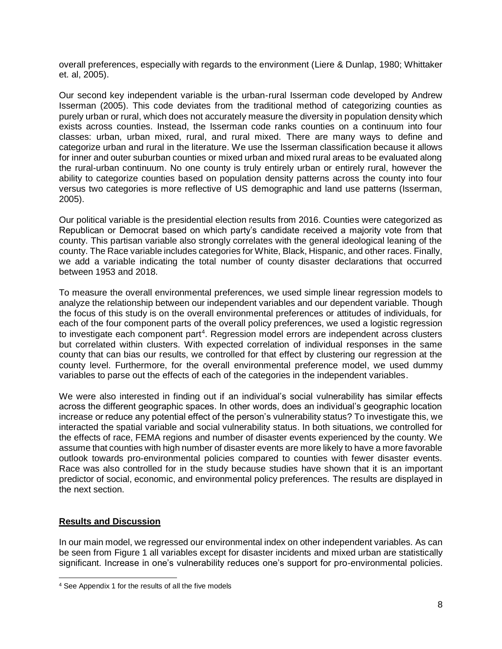overall preferences, especially with regards to the environment (Liere & Dunlap, 1980; Whittaker et. al, 2005).

Our second key independent variable is the urban-rural Isserman code developed by Andrew Isserman (2005). This code deviates from the traditional method of categorizing counties as purely urban or rural, which does not accurately measure the diversity in population density which exists across counties. Instead, the Isserman code ranks counties on a continuum into four classes: urban, urban mixed, rural, and rural mixed. There are many ways to define and categorize urban and rural in the literature. We use the Isserman classification because it allows for inner and outer suburban counties or mixed urban and mixed rural areas to be evaluated along the rural-urban continuum. No one county is truly entirely urban or entirely rural, however the ability to categorize counties based on population density patterns across the county into four versus two categories is more reflective of US demographic and land use patterns (Isserman, 2005).

Our political variable is the presidential election results from 2016. Counties were categorized as Republican or Democrat based on which party's candidate received a majority vote from that county. This partisan variable also strongly correlates with the general ideological leaning of the county. The Race variable includes categories for White, Black, Hispanic, and other races. Finally, we add a variable indicating the total number of county disaster declarations that occurred between 1953 and 2018.

To measure the overall environmental preferences, we used simple linear regression models to analyze the relationship between our independent variables and our dependent variable. Though the focus of this study is on the overall environmental preferences or attitudes of individuals, for each of the four component parts of the overall policy preferences, we used a logistic regression to investigate each component part<sup>4</sup>. Regression model errors are independent across clusters but correlated within clusters. With expected correlation of individual responses in the same county that can bias our results, we controlled for that effect by clustering our regression at the county level. Furthermore, for the overall environmental preference model, we used dummy variables to parse out the effects of each of the categories in the independent variables.

We were also interested in finding out if an individual's social vulnerability has similar effects across the different geographic spaces. In other words, does an individual's geographic location increase or reduce any potential effect of the person's vulnerability status? To investigate this, we interacted the spatial variable and social vulnerability status. In both situations, we controlled for the effects of race, FEMA regions and number of disaster events experienced by the county. We assume that counties with high number of disaster events are more likely to have a more favorable outlook towards pro-environmental policies compared to counties with fewer disaster events. Race was also controlled for in the study because studies have shown that it is an important predictor of social, economic, and environmental policy preferences. The results are displayed in the next section.

# **Results and Discussion**

In our main model, we regressed our environmental index on other independent variables. As can be seen from Figure 1 all variables except for disaster incidents and mixed urban are statistically significant. Increase in one's vulnerability reduces one's support for pro-environmental policies.

<sup>4</sup> See Appendix 1 for the results of all the five models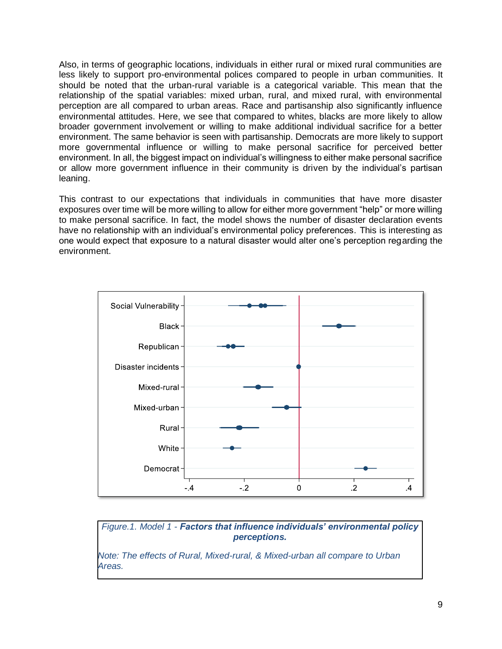Also, in terms of geographic locations, individuals in either rural or mixed rural communities are less likely to support pro-environmental polices compared to people in urban communities. It should be noted that the urban-rural variable is a categorical variable. This mean that the relationship of the spatial variables: mixed urban, rural, and mixed rural, with environmental perception are all compared to urban areas. Race and partisanship also significantly influence environmental attitudes. Here, we see that compared to whites, blacks are more likely to allow broader government involvement or willing to make additional individual sacrifice for a better environment. The same behavior is seen with partisanship. Democrats are more likely to support more governmental influence or willing to make personal sacrifice for perceived better environment. In all, the biggest impact on individual's willingness to either make personal sacrifice or allow more government influence in their community is driven by the individual's partisan leaning.

This contrast to our expectations that individuals in communities that have more disaster exposures over time will be more willing to allow for either more government "help" or more willing to make personal sacrifice. In fact, the model shows the number of disaster declaration events have no relationship with an individual's environmental policy preferences. This is interesting as one would expect that exposure to a natural disaster would alter one's perception regarding the environment.



*Figure.1. Model 1 - Factors that influence individuals' environmental policy perceptions.*

*Note: The effects of Rural, Mixed-rural, & Mixed-urban all compare to Urban Areas.*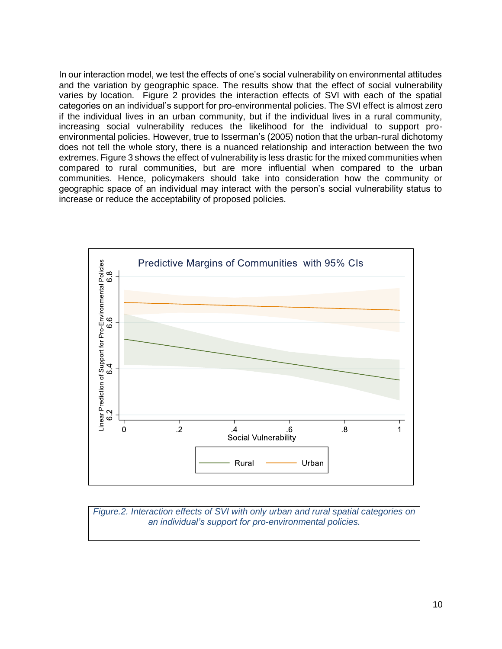In our interaction model, we test the effects of one's social vulnerability on environmental attitudes and the variation by geographic space. The results show that the effect of social vulnerability varies by location. Figure 2 provides the interaction effects of SVI with each of the spatial categories on an individual's support for pro-environmental policies. The SVI effect is almost zero if the individual lives in an urban community, but if the individual lives in a rural community, increasing social vulnerability reduces the likelihood for the individual to support proenvironmental policies. However, true to Isserman's (2005) notion that the urban-rural dichotomy does not tell the whole story, there is a nuanced relationship and interaction between the two extremes. Figure 3 shows the effect of vulnerability is less drastic for the mixed communities when compared to rural communities, but are more influential when compared to the urban communities. Hence, policymakers should take into consideration how the community or geographic space of an individual may interact with the person's social vulnerability status to increase or reduce the acceptability of proposed policies.



*Figure.2. Interaction effects of SVI with only urban and rural spatial categories on an individual's support for pro-environmental policies.*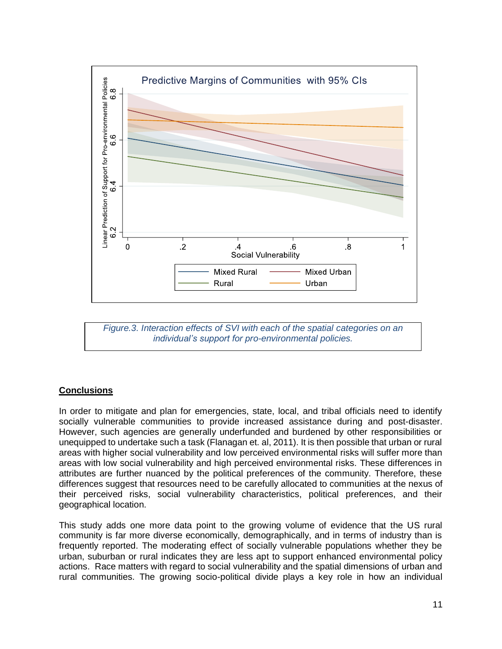

*Figure.3. Interaction effects of SVI with each of the spatial categories on an individual's support for pro-environmental policies.*

# **Conclusions**

In order to mitigate and plan for emergencies, state, local, and tribal officials need to identify socially vulnerable communities to provide increased assistance during and post-disaster. However, such agencies are generally underfunded and burdened by other responsibilities or unequipped to undertake such a task (Flanagan et. al, 2011). It is then possible that urban or rural areas with higher social vulnerability and low perceived environmental risks will suffer more than areas with low social vulnerability and high perceived environmental risks. These differences in attributes are further nuanced by the political preferences of the community. Therefore, these differences suggest that resources need to be carefully allocated to communities at the nexus of their perceived risks, social vulnerability characteristics, political preferences, and their geographical location.

This study adds one more data point to the growing volume of evidence that the US rural community is far more diverse economically, demographically, and in terms of industry than is frequently reported. The moderating effect of socially vulnerable populations whether they be urban, suburban or rural indicates they are less apt to support enhanced environmental policy actions. Race matters with regard to social vulnerability and the spatial dimensions of urban and rural communities. The growing socio-political divide plays a key role in how an individual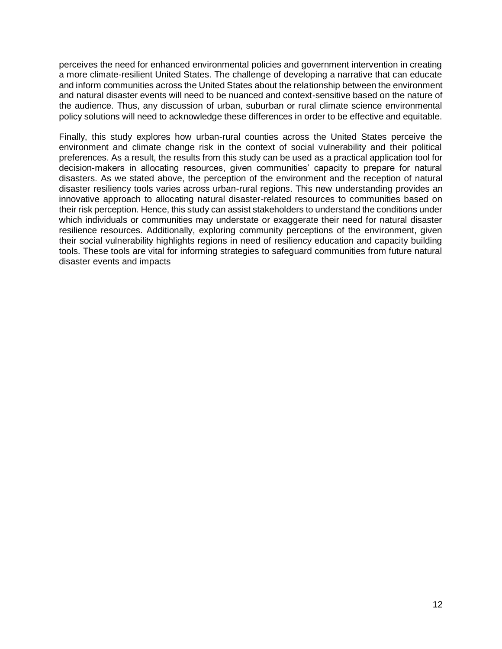perceives the need for enhanced environmental policies and government intervention in creating a more climate-resilient United States. The challenge of developing a narrative that can educate and inform communities across the United States about the relationship between the environment and natural disaster events will need to be nuanced and context-sensitive based on the nature of the audience. Thus, any discussion of urban, suburban or rural climate science environmental policy solutions will need to acknowledge these differences in order to be effective and equitable.

Finally, this study explores how urban-rural counties across the United States perceive the environment and climate change risk in the context of social vulnerability and their political preferences. As a result, the results from this study can be used as a practical application tool for decision-makers in allocating resources, given communities' capacity to prepare for natural disasters. As we stated above, the perception of the environment and the reception of natural disaster resiliency tools varies across urban-rural regions. This new understanding provides an innovative approach to allocating natural disaster-related resources to communities based on their risk perception. Hence, this study can assist stakeholders to understand the conditions under which individuals or communities may understate or exaggerate their need for natural disaster resilience resources. Additionally, exploring community perceptions of the environment, given their social vulnerability highlights regions in need of resiliency education and capacity building tools. These tools are vital for informing strategies to safeguard communities from future natural disaster events and impacts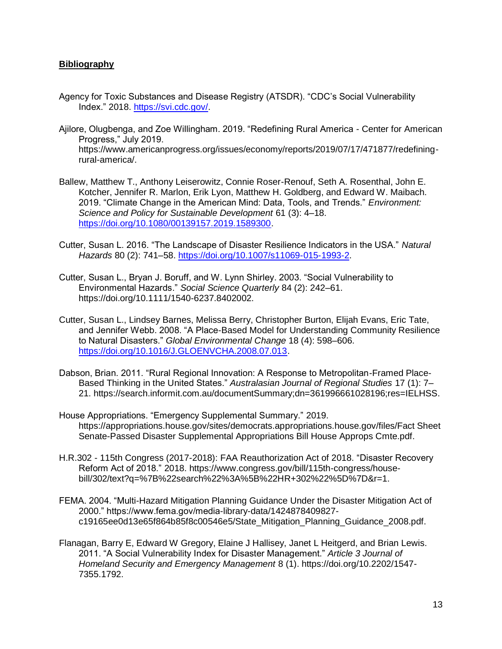# **Bibliography**

- Agency for Toxic Substances and Disease Registry (ATSDR). "CDC's Social Vulnerability Index." 2018. [https://svi.cdc.gov/.](https://svi.cdc.gov/)
- Ajilore, Olugbenga, and Zoe Willingham. 2019. "Redefining Rural America Center for American Progress," July 2019. https://www.americanprogress.org/issues/economy/reports/2019/07/17/471877/redefiningrural-america/.
- Ballew, Matthew T., Anthony Leiserowitz, Connie Roser-Renouf, Seth A. Rosenthal, John E. Kotcher, Jennifer R. Marlon, Erik Lyon, Matthew H. Goldberg, and Edward W. Maibach. 2019. "Climate Change in the American Mind: Data, Tools, and Trends." *Environment: Science and Policy for Sustainable Development* 61 (3): 4–18. [https://doi.org/10.1080/00139157.2019.1589300.](https://doi.org/10.1080/00139157.2019.1589300)
- Cutter, Susan L. 2016. "The Landscape of Disaster Resilience Indicators in the USA." *Natural Hazards* 80 (2): 741–58. [https://doi.org/10.1007/s11069-015-1993-2.](https://doi.org/10.1007/s11069-015-1993-2)
- Cutter, Susan L., Bryan J. Boruff, and W. Lynn Shirley. 2003. "Social Vulnerability to Environmental Hazards." *Social Science Quarterly* 84 (2): 242–61. https://doi.org/10.1111/1540-6237.8402002.
- Cutter, Susan L., Lindsey Barnes, Melissa Berry, Christopher Burton, Elijah Evans, Eric Tate, and Jennifer Webb. 2008. "A Place-Based Model for Understanding Community Resilience to Natural Disasters." *Global Environmental Change* 18 (4): 598–606. [https://doi.org/10.1016/J.GLOENVCHA.2008.07.013.](https://doi.org/10.1016/J.GLOENVCHA.2008.07.013)
- Dabson, Brian. 2011. "Rural Regional Innovation: A Response to Metropolitan-Framed Place-Based Thinking in the United States." *Australasian Journal of Regional Studies* 17 (1): 7– 21. https://search.informit.com.au/documentSummary;dn=361996661028196;res=IELHSS.
- House Appropriations. "Emergency Supplemental Summary." 2019. https://appropriations.house.gov/sites/democrats.appropriations.house.gov/files/Fact Sheet Senate-Passed Disaster Supplemental Appropriations Bill House Approps Cmte.pdf.
- H.R.302 115th Congress (2017-2018): FAA Reauthorization Act of 2018. "Disaster Recovery Reform Act of 2018." 2018. https://www.congress.gov/bill/115th-congress/housebill/302/text?q=%7B%22search%22%3A%5B%22HR+302%22%5D%7D&r=1.
- FEMA. 2004. "Multi-Hazard Mitigation Planning Guidance Under the Disaster Mitigation Act of 2000." https://www.fema.gov/media-library-data/1424878409827 c19165ee0d13e65f864b85f8c00546e5/State\_Mitigation\_Planning\_Guidance\_2008.pdf.
- Flanagan, Barry E, Edward W Gregory, Elaine J Hallisey, Janet L Heitgerd, and Brian Lewis. 2011. "A Social Vulnerability Index for Disaster Management." *Article 3 Journal of Homeland Security and Emergency Management* 8 (1). https://doi.org/10.2202/1547- 7355.1792.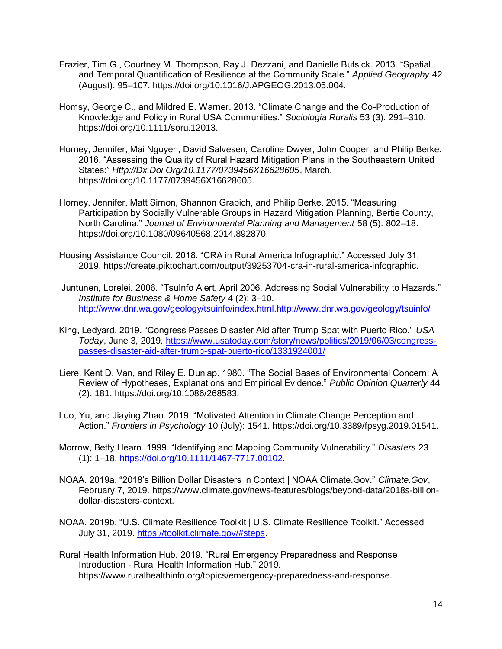- Frazier, Tim G., Courtney M. Thompson, Ray J. Dezzani, and Danielle Butsick. 2013. "Spatial and Temporal Quantification of Resilience at the Community Scale." *Applied Geography* 42 (August): 95–107. https://doi.org/10.1016/J.APGEOG.2013.05.004.
- Homsy, George C., and Mildred E. Warner. 2013. "Climate Change and the Co-Production of Knowledge and Policy in Rural USA Communities." *Sociologia Ruralis* 53 (3): 291–310. https://doi.org/10.1111/soru.12013.
- Horney, Jennifer, Mai Nguyen, David Salvesen, Caroline Dwyer, John Cooper, and Philip Berke. 2016. "Assessing the Quality of Rural Hazard Mitigation Plans in the Southeastern United States:" *Http://Dx.Doi.Org/10.1177/0739456X16628605*, March. https://doi.org/10.1177/0739456X16628605.
- Horney, Jennifer, Matt Simon, Shannon Grabich, and Philip Berke. 2015. "Measuring Participation by Socially Vulnerable Groups in Hazard Mitigation Planning, Bertie County, North Carolina." *Journal of Environmental Planning and Management* 58 (5): 802–18. https://doi.org/10.1080/09640568.2014.892870.
- Housing Assistance Council. 2018. "CRA in Rural America Infographic." Accessed July 31, 2019. https://create.piktochart.com/output/39253704-cra-in-rural-america-infographic.
- Juntunen, Lorelei. 2006. "TsuInfo Alert, April 2006. Addressing Social Vulnerability to Hazards." *Institute for Business & Home Safety* 4 (2): 3–10. [http://www.dnr.wa.gov/geology/tsuinfo/index.html.http://www.dnr.wa.gov/geology/tsuinfo/](http://www.dnr.wa.gov/geology/tsuinfo/index.html.http:/www.dnr.wa.gov/geology/tsuinfo/)
- King, Ledyard. 2019. "Congress Passes Disaster Aid after Trump Spat with Puerto Rico." *USA Today*, June 3, 2019. [https://www.usatoday.com/story/news/politics/2019/06/03/congress](https://www.usatoday.com/story/news/politics/2019/06/03/congress-passes-disaster-aid-after-trump-spat-puerto-rico/1331924001/)[passes-disaster-aid-after-trump-spat-puerto-rico/1331924001/](https://www.usatoday.com/story/news/politics/2019/06/03/congress-passes-disaster-aid-after-trump-spat-puerto-rico/1331924001/)
- Liere, Kent D. Van, and Riley E. Dunlap. 1980. "The Social Bases of Environmental Concern: A Review of Hypotheses, Explanations and Empirical Evidence." *Public Opinion Quarterly* 44 (2): 181. https://doi.org/10.1086/268583.
- Luo, Yu, and Jiaying Zhao. 2019. "Motivated Attention in Climate Change Perception and Action." *Frontiers in Psychology* 10 (July): 1541. https://doi.org/10.3389/fpsyg.2019.01541.
- Morrow, Betty Hearn. 1999. "Identifying and Mapping Community Vulnerability." *Disasters* 23 (1): 1–18. [https://doi.org/10.1111/1467-7717.00102.](https://doi.org/10.1111/1467-7717.00102)
- NOAA. 2019a. "2018's Billion Dollar Disasters in Context | NOAA Climate.Gov." *Climate.Gov*, February 7, 2019. https://www.climate.gov/news-features/blogs/beyond-data/2018s-billiondollar-disasters-context.
- NOAA. 2019b. "U.S. Climate Resilience Toolkit | U.S. Climate Resilience Toolkit." Accessed July 31, 2019. [https://toolkit.climate.gov/#steps.](https://toolkit.climate.gov/#steps)
- Rural Health Information Hub. 2019. "Rural Emergency Preparedness and Response Introduction - Rural Health Information Hub." 2019. https://www.ruralhealthinfo.org/topics/emergency-preparedness-and-response.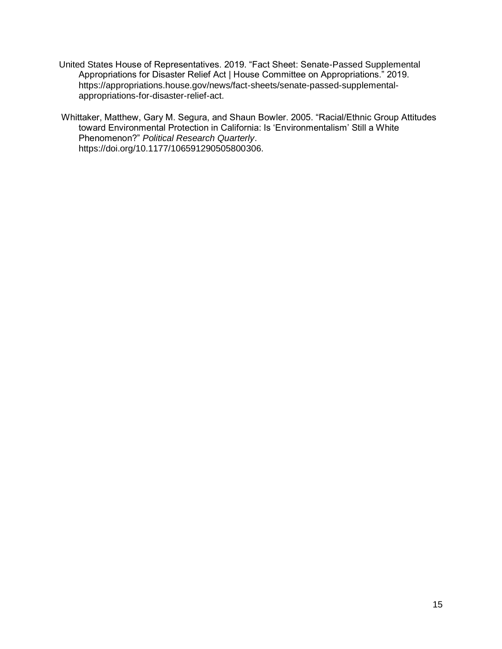United States House of Representatives. 2019. "Fact Sheet: Senate-Passed Supplemental Appropriations for Disaster Relief Act | House Committee on Appropriations." 2019. https://appropriations.house.gov/news/fact-sheets/senate-passed-supplementalappropriations-for-disaster-relief-act.

Whittaker, Matthew, Gary M. Segura, and Shaun Bowler. 2005. "Racial/Ethnic Group Attitudes toward Environmental Protection in California: Is 'Environmentalism' Still a White Phenomenon?" *Political Research Quarterly*. https://doi.org/10.1177/106591290505800306.